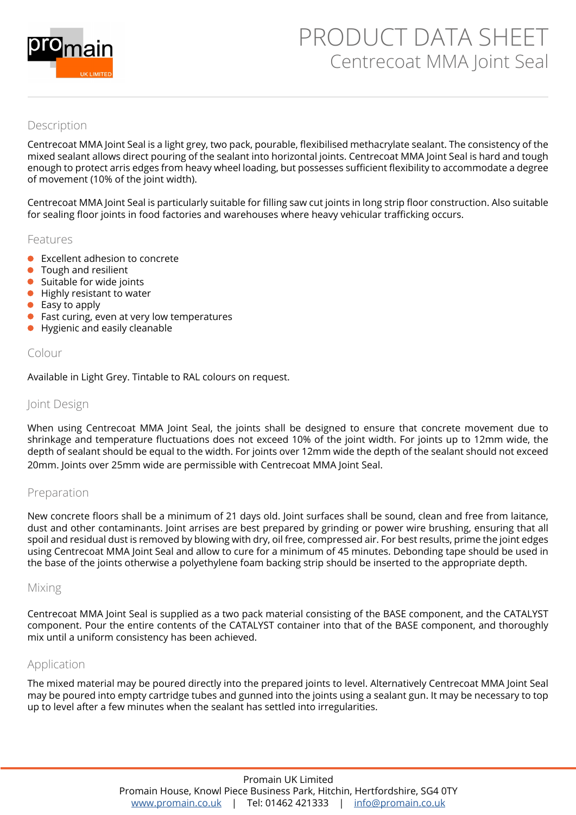

# PRODUCT DATA SHEET Centrecoat MMA Joint Seal

## Description

Centrecoat MMA Joint Seal is a light grey, two pack, pourable, flexibilised methacrylate sealant. The consistency of the mixed sealant allows direct pouring of the sealant into horizontal joints. Centrecoat MMA Joint Seal is hard and tough enough to protect arris edges from heavy wheel loading, but possesses sufficient flexibility to accommodate a degree of movement (10% of the joint width).

Centrecoat MMA Joint Seal is particularly suitable for filling saw cut joints in long strip floor construction. Also suitable for sealing floor joints in food factories and warehouses where heavy vehicular trafficking occurs.

#### Features

- Excellent adhesion to concrete
- **•** Tough and resilient
- Suitable for wide joints
- Highly resistant to water
- Easy to apply
- Fast curing, even at very low temperatures  $\bullet$
- Hygienic and easily cleanable

### Colour

Available in Light Grey. Tintable to RAL colours on request.

### Joint Design

When using Centrecoat MMA Joint Seal, the joints shall be designed to ensure that concrete movement due to shrinkage and temperature fluctuations does not exceed 10% of the joint width. For joints up to 12mm wide, the depth of sealant should be equal to the width. For joints over 12mm wide the depth of the sealant should not exceed 20mm. Joints over 25mm wide are permissible with Centrecoat MMA Joint Seal.

### Preparation

New concrete floors shall be a minimum of 21 days old. Joint surfaces shall be sound, clean and free from laitance, dust and other contaminants. Joint arrises are best prepared by grinding or power wire brushing, ensuring that all spoil and residual dust is removed by blowing with dry, oil free, compressed air. For best results, prime the joint edges using Centrecoat MMA Joint Seal and allow to cure for a minimum of 45 minutes. Debonding tape should be used in the base of the joints otherwise a polyethylene foam backing strip should be inserted to the appropriate depth.

#### Mixing

Centrecoat MMA Joint Seal is supplied as a two pack material consisting of the BASE component, and the CATALYST component. Pour the entire contents of the CATALYST container into that of the BASE component, and thoroughly mix until a uniform consistency has been achieved.

### Application

The mixed material may be poured directly into the prepared joints to level. Alternatively Centrecoat MMA Joint Seal may be poured into empty cartridge tubes and gunned into the joints using a sealant gun. It may be necessary to top up to level after a few minutes when the sealant has settled into irregularities.